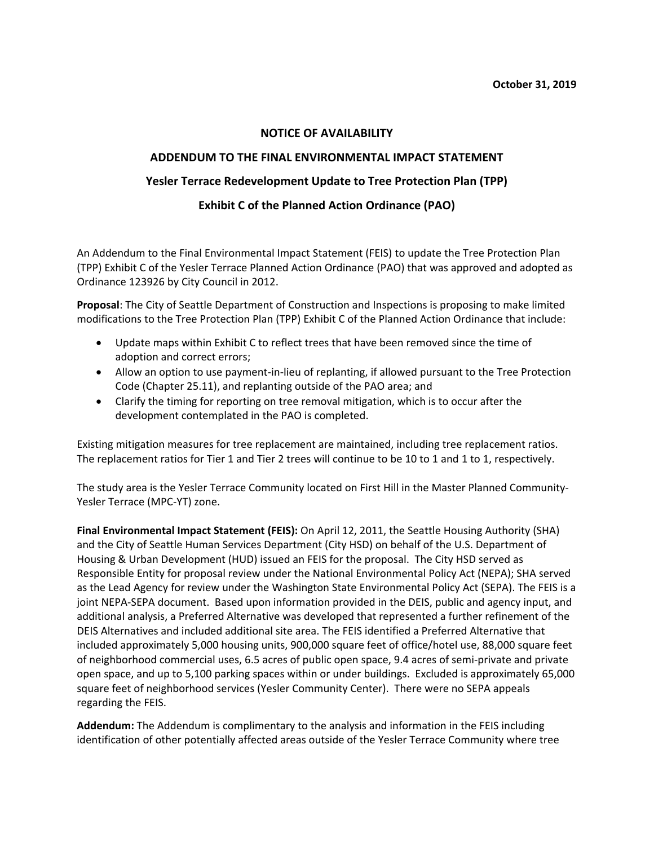## **NOTICE OF AVAILABILITY**

## **ADDENDUM TO THE FINAL ENVIRONMENTAL IMPACT STATEMENT**

# **Yesler Terrace Redevelopment Update to Tree Protection Plan (TPP)**

## **Exhibit C of the Planned Action Ordinance (PAO)**

An Addendum to the Final Environmental Impact Statement (FEIS) to update the Tree Protection Plan (TPP) Exhibit C of the Yesler Terrace Planned Action Ordinance (PAO) that was approved and adopted as Ordinance 123926 by City Council in 2012.

**Proposal**: The City of Seattle Department of Construction and Inspections is proposing to make limited modifications to the Tree Protection Plan (TPP) Exhibit C of the Planned Action Ordinance that include:

- Update maps within Exhibit C to reflect trees that have been removed since the time of adoption and correct errors;
- Allow an option to use payment-in-lieu of replanting, if allowed pursuant to the Tree Protection Code (Chapter 25.11), and replanting outside of the PAO area; and
- Clarify the timing for reporting on tree removal mitigation, which is to occur after the development contemplated in the PAO is completed.

Existing mitigation measures for tree replacement are maintained, including tree replacement ratios. The replacement ratios for Tier 1 and Tier 2 trees will continue to be 10 to 1 and 1 to 1, respectively.

The study area is the Yesler Terrace Community located on First Hill in the Master Planned Community‐ Yesler Terrace (MPC‐YT) zone.

**Final Environmental Impact Statement (FEIS):** On April 12, 2011, the Seattle Housing Authority (SHA) and the City of Seattle Human Services Department (City HSD) on behalf of the U.S. Department of Housing & Urban Development (HUD) issued an FEIS for the proposal. The City HSD served as Responsible Entity for proposal review under the National Environmental Policy Act (NEPA); SHA served as the Lead Agency for review under the Washington State Environmental Policy Act (SEPA). The FEIS is a joint NEPA‐SEPA document. Based upon information provided in the DEIS, public and agency input, and additional analysis, a Preferred Alternative was developed that represented a further refinement of the DEIS Alternatives and included additional site area. The FEIS identified a Preferred Alternative that included approximately 5,000 housing units, 900,000 square feet of office/hotel use, 88,000 square feet of neighborhood commercial uses, 6.5 acres of public open space, 9.4 acres of semi‐private and private open space, and up to 5,100 parking spaces within or under buildings. Excluded is approximately 65,000 square feet of neighborhood services (Yesler Community Center). There were no SEPA appeals regarding the FEIS.

**Addendum:** The Addendum is complimentary to the analysis and information in the FEIS including identification of other potentially affected areas outside of the Yesler Terrace Community where tree